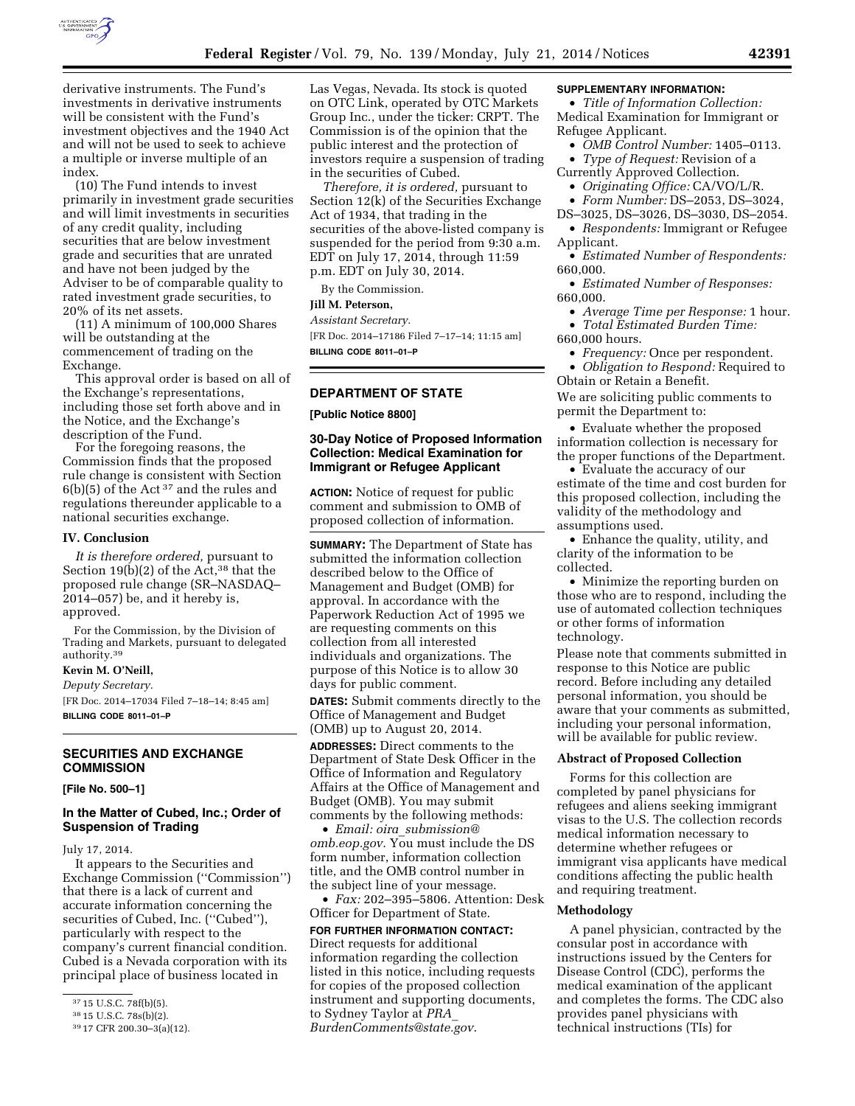

derivative instruments. The Fund's investments in derivative instruments will be consistent with the Fund's investment objectives and the 1940 Act and will not be used to seek to achieve a multiple or inverse multiple of an index.

(10) The Fund intends to invest primarily in investment grade securities and will limit investments in securities of any credit quality, including securities that are below investment grade and securities that are unrated and have not been judged by the Adviser to be of comparable quality to rated investment grade securities, to 20% of its net assets.

(11) A minimum of 100,000 Shares will be outstanding at the commencement of trading on the Exchange.

This approval order is based on all of the Exchange's representations, including those set forth above and in the Notice, and the Exchange's description of the Fund.

For the foregoing reasons, the Commission finds that the proposed rule change is consistent with Section 6(b)(5) of the Act 37 and the rules and regulations thereunder applicable to a national securities exchange.

#### **IV. Conclusion**

*It is therefore ordered,* pursuant to Section  $19(b)(2)$  of the Act,<sup>38</sup> that the proposed rule change (SR–NASDAQ– 2014–057) be, and it hereby is, approved.

For the Commission, by the Division of Trading and Markets, pursuant to delegated authority.39

### **Kevin M. O'Neill,**

*Deputy Secretary.* 

[FR Doc. 2014–17034 Filed 7–18–14; 8:45 am] **BILLING CODE 8011–01–P** 

## **SECURITIES AND EXCHANGE COMMISSION**

**[File No. 500–1]** 

### **In the Matter of Cubed, Inc.; Order of Suspension of Trading**

July 17, 2014.

It appears to the Securities and Exchange Commission (''Commission'') that there is a lack of current and accurate information concerning the securities of Cubed, Inc. (''Cubed''), particularly with respect to the company's current financial condition. Cubed is a Nevada corporation with its principal place of business located in

Las Vegas, Nevada. Its stock is quoted on OTC Link, operated by OTC Markets Group Inc., under the ticker: CRPT. The Commission is of the opinion that the public interest and the protection of investors require a suspension of trading in the securities of Cubed.

*Therefore, it is ordered,* pursuant to Section 12(k) of the Securities Exchange Act of 1934, that trading in the securities of the above-listed company is suspended for the period from 9:30 a.m. EDT on July 17, 2014, through 11:59 p.m. EDT on July 30, 2014.

By the Commission.

### **Jill M. Peterson,**

*Assistant Secretary.* 

[FR Doc. 2014–17186 Filed 7–17–14; 11:15 am] **BILLING CODE 8011–01–P** 

### **DEPARTMENT OF STATE**

**[Public Notice 8800]** 

### **30-Day Notice of Proposed Information Collection: Medical Examination for Immigrant or Refugee Applicant**

**ACTION:** Notice of request for public comment and submission to OMB of proposed collection of information.

**SUMMARY:** The Department of State has submitted the information collection described below to the Office of Management and Budget (OMB) for approval. In accordance with the Paperwork Reduction Act of 1995 we are requesting comments on this collection from all interested individuals and organizations. The purpose of this Notice is to allow 30 days for public comment.

**DATES:** Submit comments directly to the Office of Management and Budget (OMB) up to August 20, 2014.

**ADDRESSES:** Direct comments to the Department of State Desk Officer in the Office of Information and Regulatory Affairs at the Office of Management and Budget (OMB). You may submit comments by the following methods:

• *Email: oira*\_*[submission@](mailto:oira_submission@omb.eop.gov) [omb.eop.gov](mailto:oira_submission@omb.eop.gov)*. You must include the DS form number, information collection title, and the OMB control number in the subject line of your message.

• *Fax:* 202–395–5806. Attention: Desk Officer for Department of State.

### **FOR FURTHER INFORMATION CONTACT:**  Direct requests for additional information regarding the collection listed in this notice, including requests for copies of the proposed collection instrument and supporting documents, to Sydney Taylor at *[PRA](mailto:PRA_BurdenComments@state.gov)*\_ *[BurdenComments@state.gov](mailto:PRA_BurdenComments@state.gov)*.

#### **SUPPLEMENTARY INFORMATION:**

• *Title of Information Collection:*  Medical Examination for Immigrant or Refugee Applicant.

- *OMB Control Number:* 1405–0113.
- *Type of Request:* Revision of a Currently Approved Collection.
	- *Originating Office:* CA/VO/L/R.
	- *Form Number:* DS–2053, DS–3024,
- DS–3025, DS–3026, DS–3030, DS–2054. • *Respondents:* Immigrant or Refugee
- Applicant. • *Estimated Number of Respondents:*
- 660,000.
- *Estimated Number of Responses:*  660,000.
- *Average Time per Response:* 1 hour. • *Total Estimated Burden Time:*
- 660,000 hours.
	- *Frequency:* Once per respondent.

• *Obligation to Respond:* Required to Obtain or Retain a Benefit.

We are soliciting public comments to permit the Department to:

• Evaluate whether the proposed information collection is necessary for the proper functions of the Department.

• Evaluate the accuracy of our estimate of the time and cost burden for this proposed collection, including the validity of the methodology and assumptions used.

• Enhance the quality, utility, and clarity of the information to be collected.

• Minimize the reporting burden on those who are to respond, including the use of automated collection techniques or other forms of information technology.

Please note that comments submitted in response to this Notice are public record. Before including any detailed personal information, you should be aware that your comments as submitted, including your personal information, will be available for public review.

#### **Abstract of Proposed Collection**

Forms for this collection are completed by panel physicians for refugees and aliens seeking immigrant visas to the U.S. The collection records medical information necessary to determine whether refugees or immigrant visa applicants have medical conditions affecting the public health and requiring treatment.

#### **Methodology**

A panel physician, contracted by the consular post in accordance with instructions issued by the Centers for Disease Control (CDC), performs the medical examination of the applicant and completes the forms. The CDC also provides panel physicians with technical instructions (TIs) for

<sup>37</sup> 15 U.S.C. 78f(b)(5).

<sup>38</sup> 15 U.S.C. 78s(b)(2).

<sup>39</sup> 17 CFR 200.30–3(a)(12).